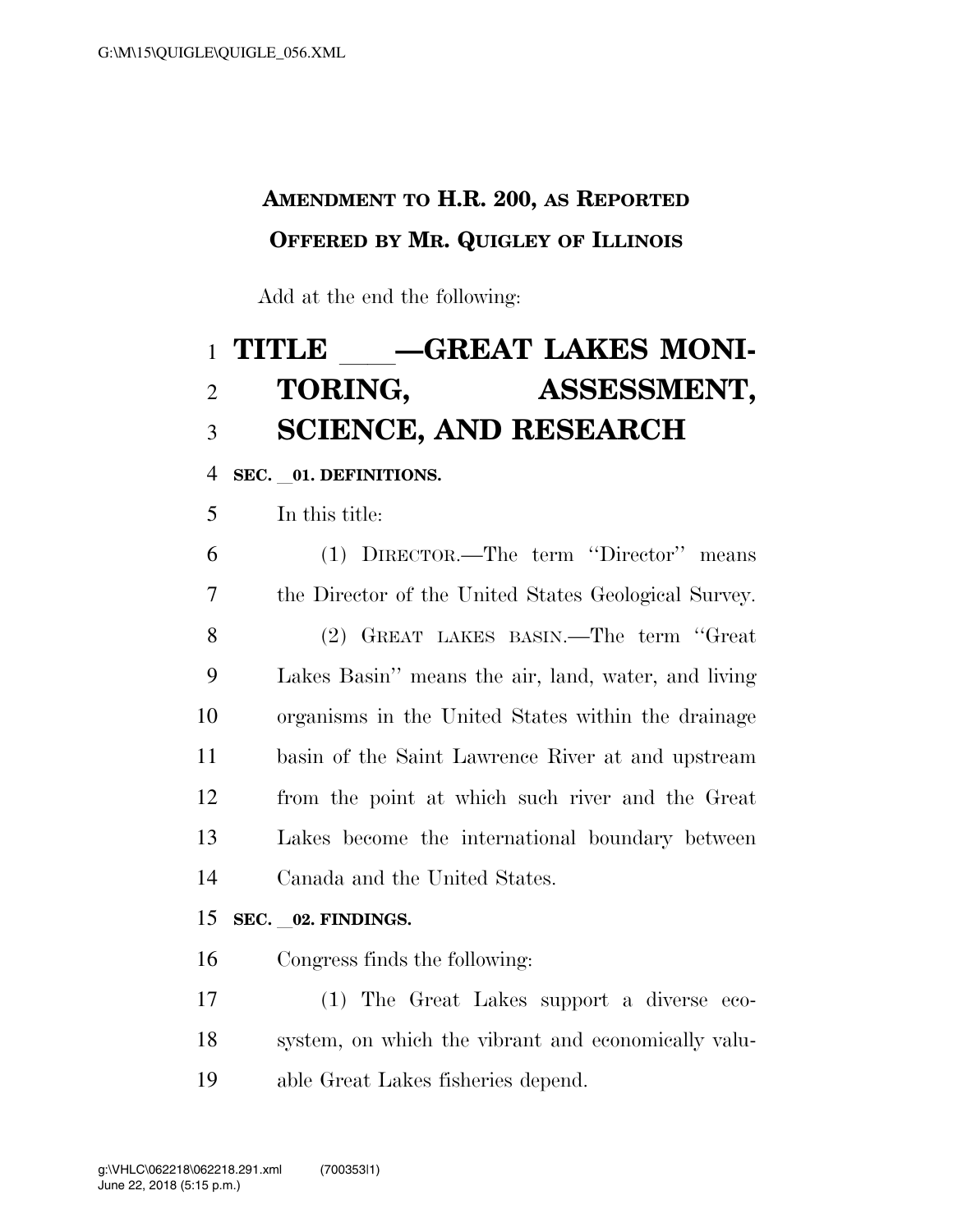## **AMENDMENT TO H.R. 200, AS REPORTED OFFERED BY MR. QUIGLEY OF ILLINOIS**

Add at the end the following:

# 1 TITLE \_\_\_\_GREAT LAKES MONI-<br>2 TORING, ASSESSMENT, ASSESSMENT, **SCIENCE, AND RESEARCH**

**SEC.** l**01. DEFINITIONS.** 

In this title:

 (1) DIRECTOR.—The term ''Director'' means the Director of the United States Geological Survey. (2) GREAT LAKES BASIN.—The term ''Great Lakes Basin'' means the air, land, water, and living organisms in the United States within the drainage basin of the Saint Lawrence River at and upstream from the point at which such river and the Great Lakes become the international boundary between Canada and the United States.

#### **SEC.** l**02. FINDINGS.**

Congress finds the following:

 (1) The Great Lakes support a diverse eco- system, on which the vibrant and economically valu-able Great Lakes fisheries depend.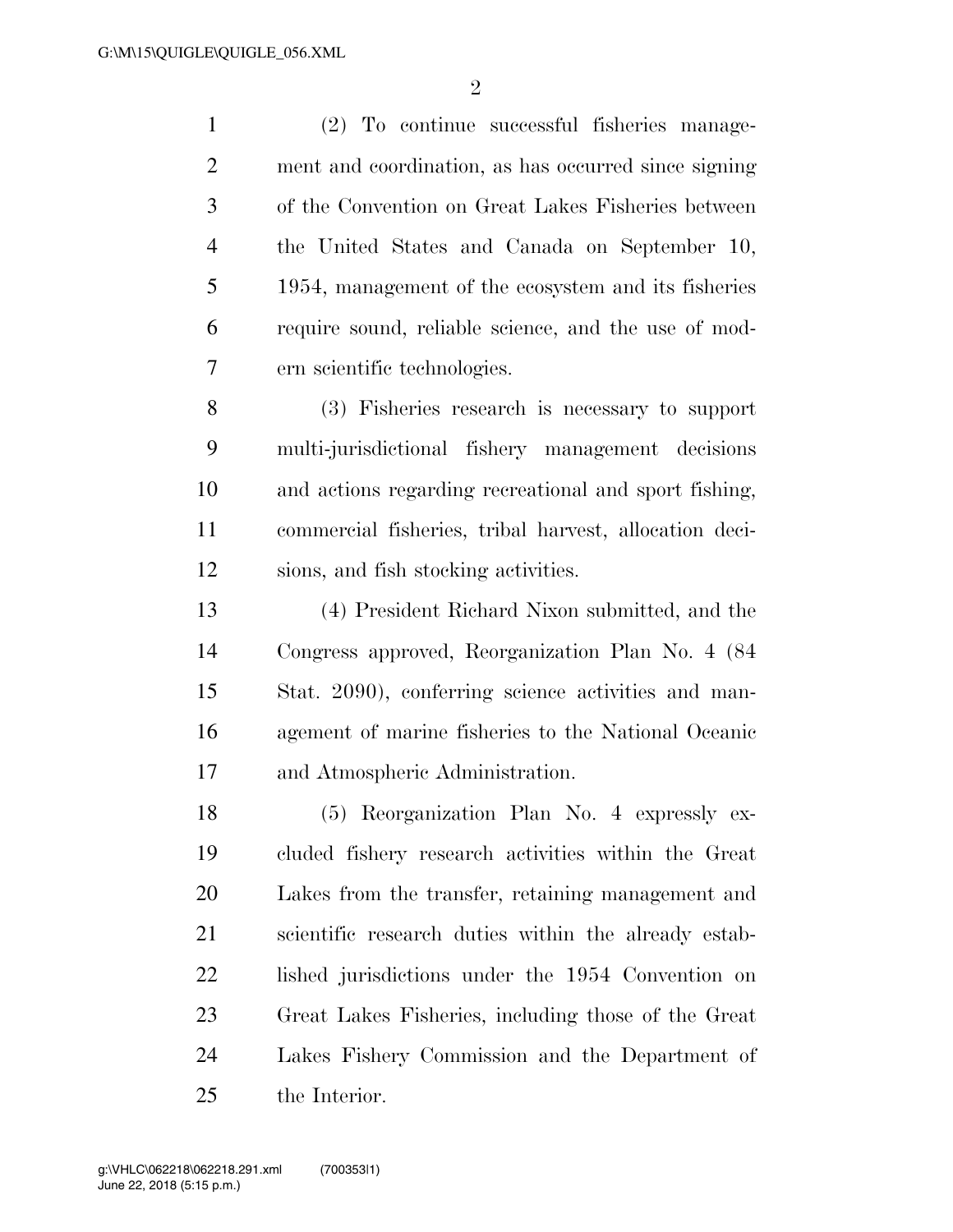(2) To continue successful fisheries manage- ment and coordination, as has occurred since signing of the Convention on Great Lakes Fisheries between the United States and Canada on September 10, 1954, management of the ecosystem and its fisheries require sound, reliable science, and the use of mod-ern scientific technologies.

 (3) Fisheries research is necessary to support multi-jurisdictional fishery management decisions and actions regarding recreational and sport fishing, commercial fisheries, tribal harvest, allocation deci-sions, and fish stocking activities.

 (4) President Richard Nixon submitted, and the Congress approved, Reorganization Plan No. 4 (84 Stat. 2090), conferring science activities and man- agement of marine fisheries to the National Oceanic and Atmospheric Administration.

 (5) Reorganization Plan No. 4 expressly ex- cluded fishery research activities within the Great Lakes from the transfer, retaining management and scientific research duties within the already estab- lished jurisdictions under the 1954 Convention on Great Lakes Fisheries, including those of the Great Lakes Fishery Commission and the Department of the Interior.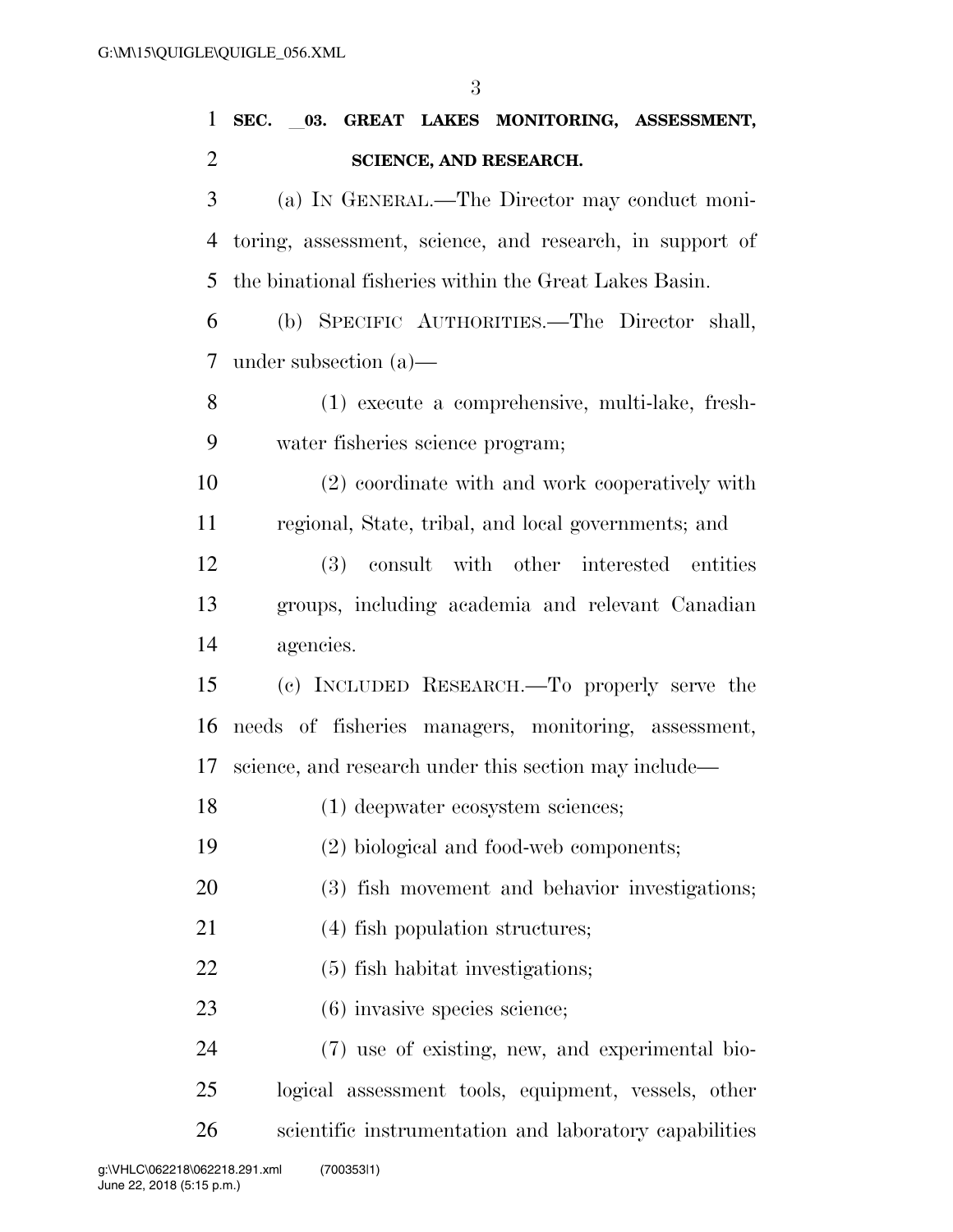**SEC.** l**03. GREAT LAKES MONITORING, ASSESSMENT, SCIENCE, AND RESEARCH.**  (a) IN GENERAL.—The Director may conduct moni- toring, assessment, science, and research, in support of the binational fisheries within the Great Lakes Basin. (b) SPECIFIC AUTHORITIES.—The Director shall, under subsection (a)— (1) execute a comprehensive, multi-lake, fresh- water fisheries science program; (2) coordinate with and work cooperatively with regional, State, tribal, and local governments; and (3) consult with other interested entities groups, including academia and relevant Canadian agencies. (c) INCLUDED RESEARCH.—To properly serve the needs of fisheries managers, monitoring, assessment, science, and research under this section may include— (1) deepwater ecosystem sciences; (2) biological and food-web components; (3) fish movement and behavior investigations; (4) fish population structures; (5) fish habitat investigations; 23 (6) invasive species science; (7) use of existing, new, and experimental bio-logical assessment tools, equipment, vessels, other

scientific instrumentation and laboratory capabilities

June 22, 2018 (5:15 p.m.) g:\VHLC\062218\062218.291.xml (700353|1)